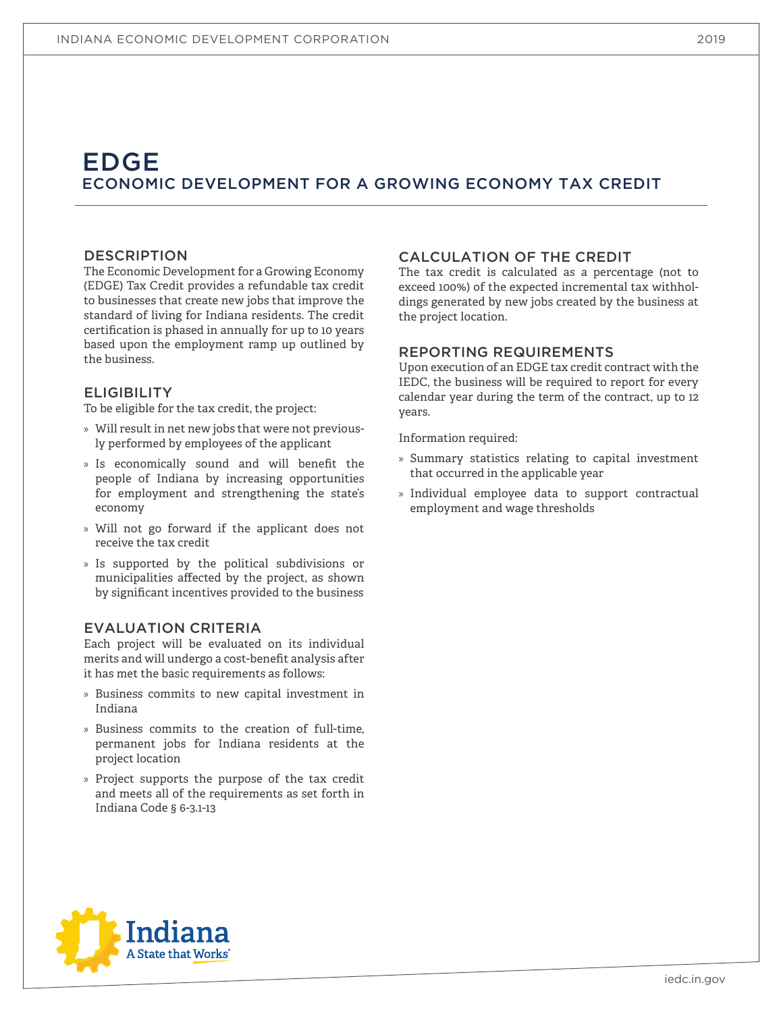# EDGE ECONOMIC DEVELOPMENT FOR A GROWING ECONOMY TAX CREDIT

### DESCRIPTION

The Economic Development for a Growing Economy (EDGE) Tax Credit provides a refundable tax credit to businesses that create new jobs that improve the standard of living for Indiana residents. The credit certification is phased in annually for up to 10 years based upon the employment ramp up outlined by the business.

### **ELIGIBILITY**

To be eligible for the tax credit, the project:

- » Will result in net new jobs that were not previously performed by employees of the applicant
- » Is economically sound and will benefit the people of Indiana by increasing opportunities for employment and strengthening the state's economy
- » Will not go forward if the applicant does not receive the tax credit
- » Is supported by the political subdivisions or municipalities affected by the project, as shown by significant incentives provided to the business

### EVALUATION CRITERIA

Each project will be evaluated on its individual merits and will undergo a cost-benefit analysis after it has met the basic requirements as follows:

- » Business commits to new capital investment in Indiana
- » Business commits to the creation of full-time, permanent jobs for Indiana residents at the project location
- » Project supports the purpose of the tax credit and meets all of the requirements as set forth in Indiana Code § 6-3.1-13

### CALCULATION OF THE CREDIT

The tax credit is calculated as a percentage (not to exceed 100%) of the expected incremental tax withholdings generated by new jobs created by the business at the project location.

### REPORTING REQUIREMENTS

Upon execution of an EDGE tax credit contract with the IEDC, the business will be required to report for every calendar year during the term of the contract, up to 12 years.

- » Summary statistics relating to capital investment that occurred in the applicable year
- » Individual employee data to support contractual employment and wage thresholds



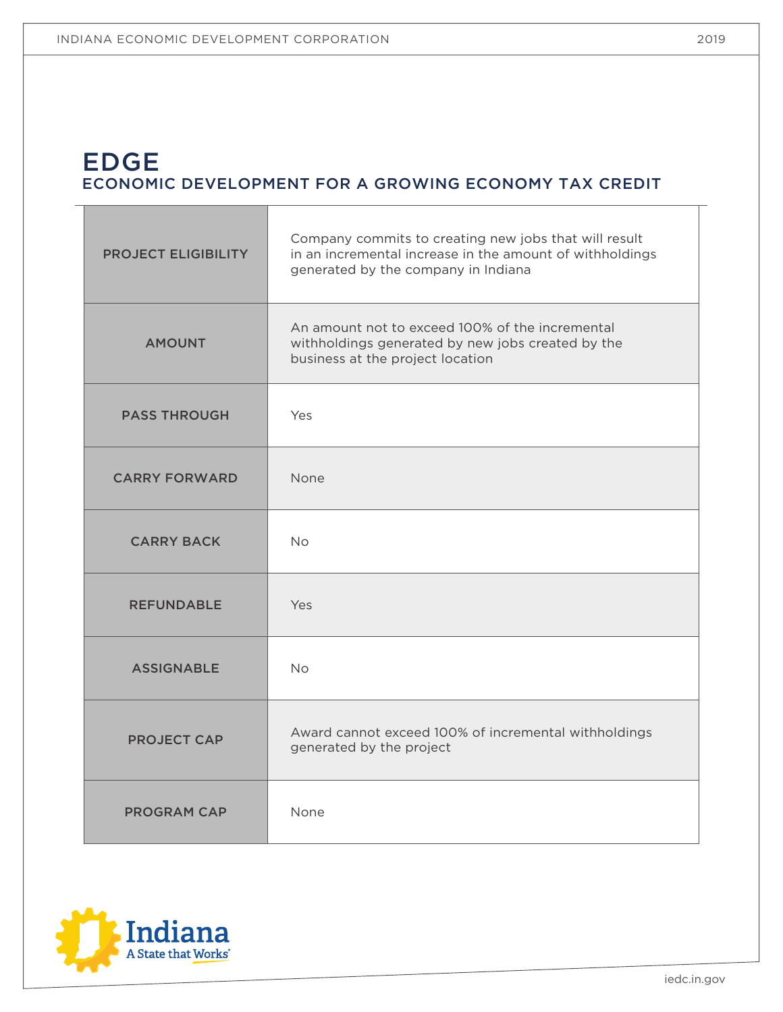$\blacksquare$ 

# EDGE ECONOMIC DEVELOPMENT FOR A GROWING ECONOMY TAX CREDIT

| <b>PROJECT ELIGIBILITY</b> | Company commits to creating new jobs that will result<br>in an incremental increase in the amount of withholdings<br>generated by the company in Indiana |
|----------------------------|----------------------------------------------------------------------------------------------------------------------------------------------------------|
| <b>AMOUNT</b>              | An amount not to exceed 100% of the incremental<br>withholdings generated by new jobs created by the<br>business at the project location                 |
| <b>PASS THROUGH</b>        | Yes                                                                                                                                                      |
| <b>CARRY FORWARD</b>       | None                                                                                                                                                     |
| <b>CARRY BACK</b>          | <b>No</b>                                                                                                                                                |
| <b>REFUNDABLE</b>          | Yes                                                                                                                                                      |
| <b>ASSIGNABLE</b>          | <b>No</b>                                                                                                                                                |
| <b>PROJECT CAP</b>         | Award cannot exceed 100% of incremental withholdings<br>generated by the project                                                                         |
| <b>PROGRAM CAP</b>         | None                                                                                                                                                     |



 $\top$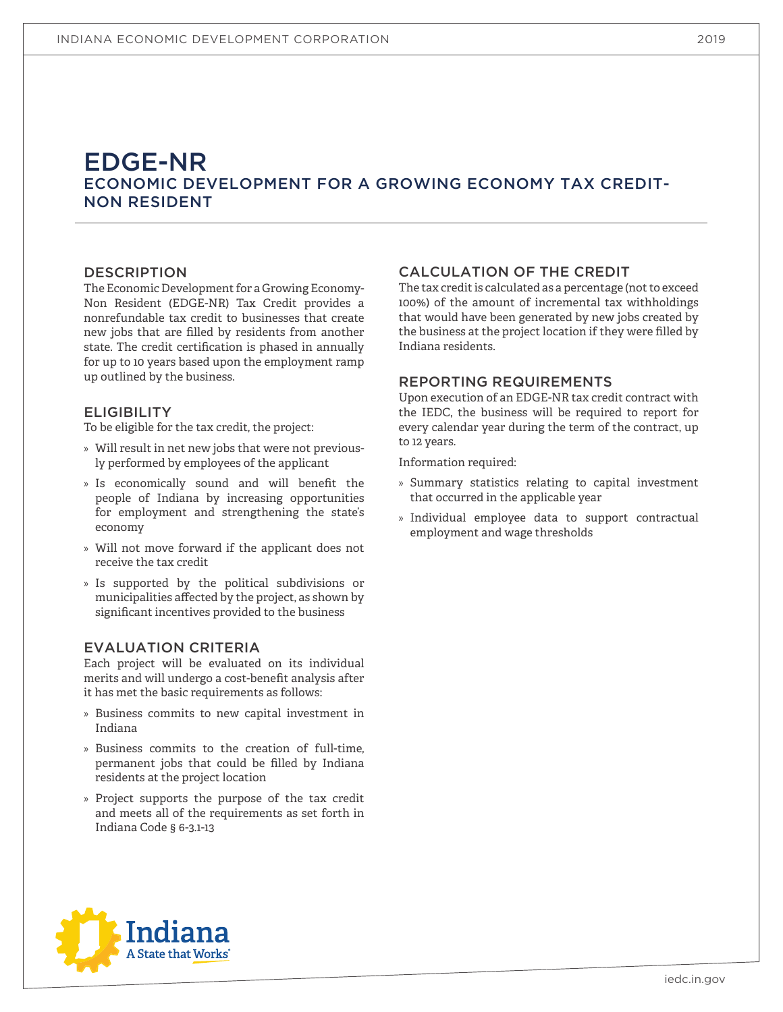# EDGE-NR ECONOMIC DEVELOPMENT FOR A GROWING ECONOMY TAX CREDIT-NON RESIDENT

### DESCRIPTION

The Economic Development for a Growing Economy-Non Resident (EDGE-NR) Tax Credit provides a nonrefundable tax credit to businesses that create new jobs that are filled by residents from another state. The credit certification is phased in annually for up to 10 years based upon the employment ramp up outlined by the business.

### **ELIGIBILITY**

To be eligible for the tax credit, the project:

- » Will result in net new jobs that were not previously performed by employees of the applicant
- » Is economically sound and will benefit the people of Indiana by increasing opportunities for employment and strengthening the state's economy
- » Will not move forward if the applicant does not receive the tax credit
- » Is supported by the political subdivisions or municipalities affected by the project, as shown by significant incentives provided to the business

#### EVALUATION CRITERIA

Each project will be evaluated on its individual merits and will undergo a cost-benefit analysis after it has met the basic requirements as follows:

- » Business commits to new capital investment in Indiana
- » Business commits to the creation of full-time, permanent jobs that could be filled by Indiana residents at the project location
- » Project supports the purpose of the tax credit and meets all of the requirements as set forth in Indiana Code § 6-3.1-13

### CALCULATION OF THE CREDIT

The tax credit is calculated as a percentage (not to exceed 100%) of the amount of incremental tax withholdings that would have been generated by new jobs created by the business at the project location if they were filled by Indiana residents.

### REPORTING REQUIREMENTS

Upon execution of an EDGE-NR tax credit contract with the IEDC, the business will be required to report for every calendar year during the term of the contract, up to 12 years.

- » Summary statistics relating to capital investment that occurred in the applicable year
- » Individual employee data to support contractual employment and wage thresholds



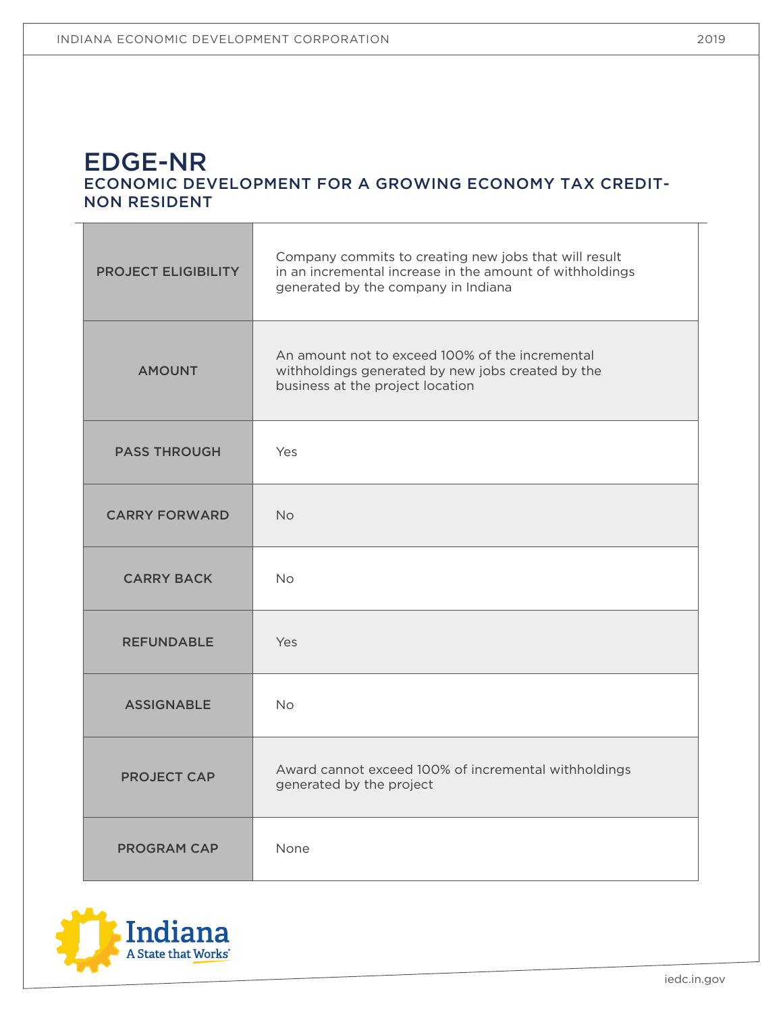# EDGE-NR ECONOMIC DEVELOPMENT FOR A GROWING ECONOMY TAX CREDIT-NON RESIDENT

| <b>PROJECT ELIGIBILITY</b> | Company commits to creating new jobs that will result<br>in an incremental increase in the amount of withholdings<br>generated by the company in Indiana |  |
|----------------------------|----------------------------------------------------------------------------------------------------------------------------------------------------------|--|
| <b>AMOUNT</b>              | An amount not to exceed 100% of the incremental<br>withholdings generated by new jobs created by the<br>business at the project location                 |  |
| <b>PASS THROUGH</b>        | Yes                                                                                                                                                      |  |
| <b>CARRY FORWARD</b>       | <b>No</b>                                                                                                                                                |  |
| <b>CARRY BACK</b>          | <b>No</b>                                                                                                                                                |  |
| <b>REFUNDABLE</b>          | Yes                                                                                                                                                      |  |
| <b>ASSIGNABLE</b>          | No.                                                                                                                                                      |  |
| <b>PROJECT CAP</b>         | Award cannot exceed 100% of incremental withholdings<br>generated by the project                                                                         |  |
| <b>PROGRAM CAP</b>         | None                                                                                                                                                     |  |

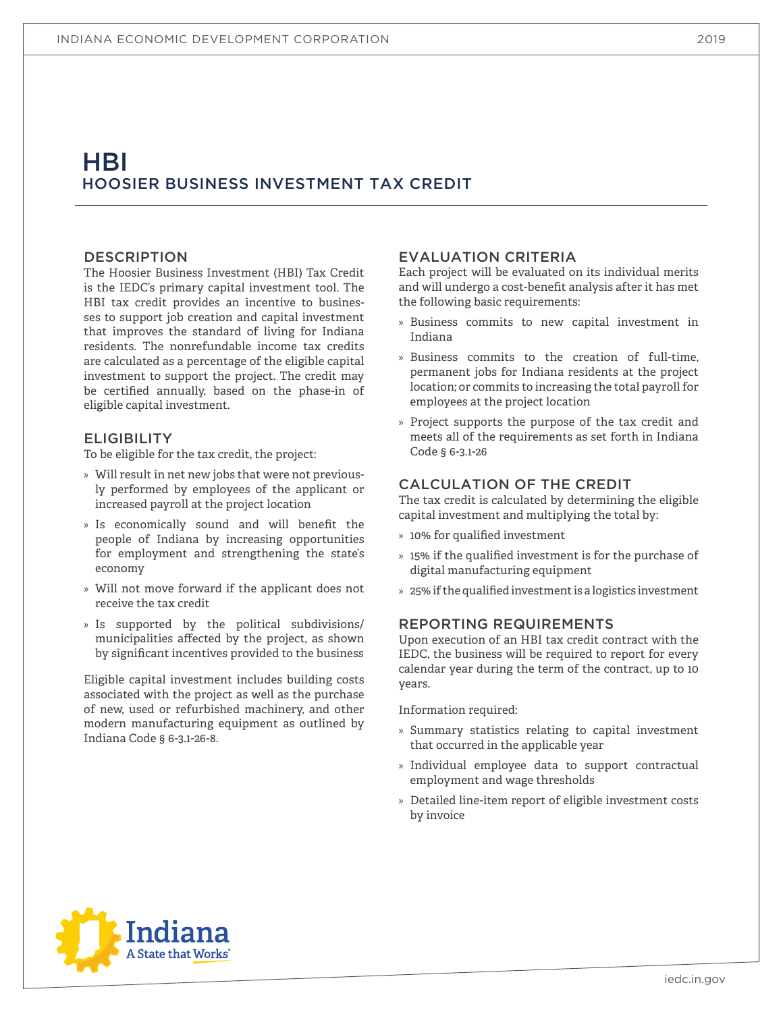# HBI HOOSIER BUSINESS INVESTMENT TAX CREDIT

#### DESCRIPTION

The Hoosier Business Investment (HBI) Tax Credit is the IEDC's primary capital investment tool. The HBI tax credit provides an incentive to businesses to support job creation and capital investment that improves the standard of living for Indiana residents. The nonrefundable income tax credits are calculated as a percentage of the eligible capital investment to support the project. The credit may be certified annually, based on the phase-in of eligible capital investment.

### **ELIGIBILITY**

To be eligible for the tax credit, the project:

- » Will result in net new jobs that were not previously performed by employees of the applicant or increased payroll at the project location
- » Is economically sound and will benefit the people of Indiana by increasing opportunities for employment and strengthening the state's economy
- » Will not move forward if the applicant does not receive the tax credit
- » Is supported by the political subdivisions/ municipalities affected by the project, as shown by significant incentives provided to the business

Eligible capital investment includes building costs associated with the project as well as the purchase of new, used or refurbished machinery, and other modern manufacturing equipment as outlined by Indiana Code § 6-3.1-26-8.

# EVALUATION CRITERIA

Each project will be evaluated on its individual merits and will undergo a cost-benefit analysis after it has met the following basic requirements:

- » Business commits to new capital investment in Indiana
- » Business commits to the creation of full-time, permanent jobs for Indiana residents at the project location; or commits to increasing the total payroll for employees at the project location
- » Project supports the purpose of the tax credit and meets all of the requirements as set forth in Indiana Code § 6-3.1-26

### CALCULATION OF THE CREDIT

The tax credit is calculated by determining the eligible capital investment and multiplying the total by:

- » 10% for qualified investment
- » 15% if the qualified investment is for the purchase of digital manufacturing equipment
- » 25% if the qualified investment is a logistics investment

### REPORTING REQUIREMENTS

Upon execution of an HBI tax credit contract with the IEDC, the business will be required to report for every calendar year during the term of the contract, up to 10 years.

- » Summary statistics relating to capital investment that occurred in the applicable year
- » Individual employee data to support contractual employment and wage thresholds
- » Detailed line-item report of eligible investment costs by invoice

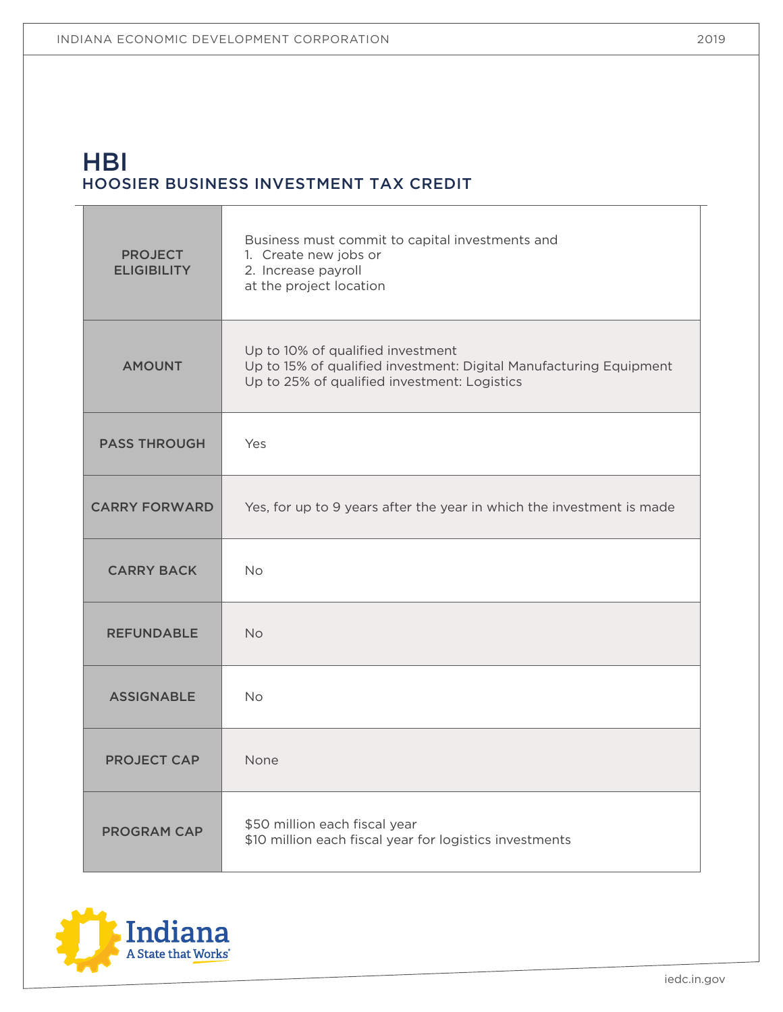T

# **HBI** HOOSIER BUSINESS INVESTMENT TAX CREDIT

| <b>PROJECT</b><br><b>ELIGIBILITY</b> | Business must commit to capital investments and<br>1. Create new jobs or<br>2. Increase payroll<br>at the project location                              |
|--------------------------------------|---------------------------------------------------------------------------------------------------------------------------------------------------------|
| <b>AMOUNT</b>                        | Up to 10% of qualified investment<br>Up to 15% of qualified investment: Digital Manufacturing Equipment<br>Up to 25% of qualified investment: Logistics |
| <b>PASS THROUGH</b>                  | Yes                                                                                                                                                     |
| <b>CARRY FORWARD</b>                 | Yes, for up to 9 years after the year in which the investment is made                                                                                   |
| <b>CARRY BACK</b>                    | <b>No</b>                                                                                                                                               |
| <b>REFUNDABLE</b>                    | <b>No</b>                                                                                                                                               |
| <b>ASSIGNABLE</b>                    | <b>No</b>                                                                                                                                               |
| <b>PROJECT CAP</b>                   | None                                                                                                                                                    |
| <b>PROGRAM CAP</b>                   | \$50 million each fiscal year<br>\$10 million each fiscal year for logistics investments                                                                |



Т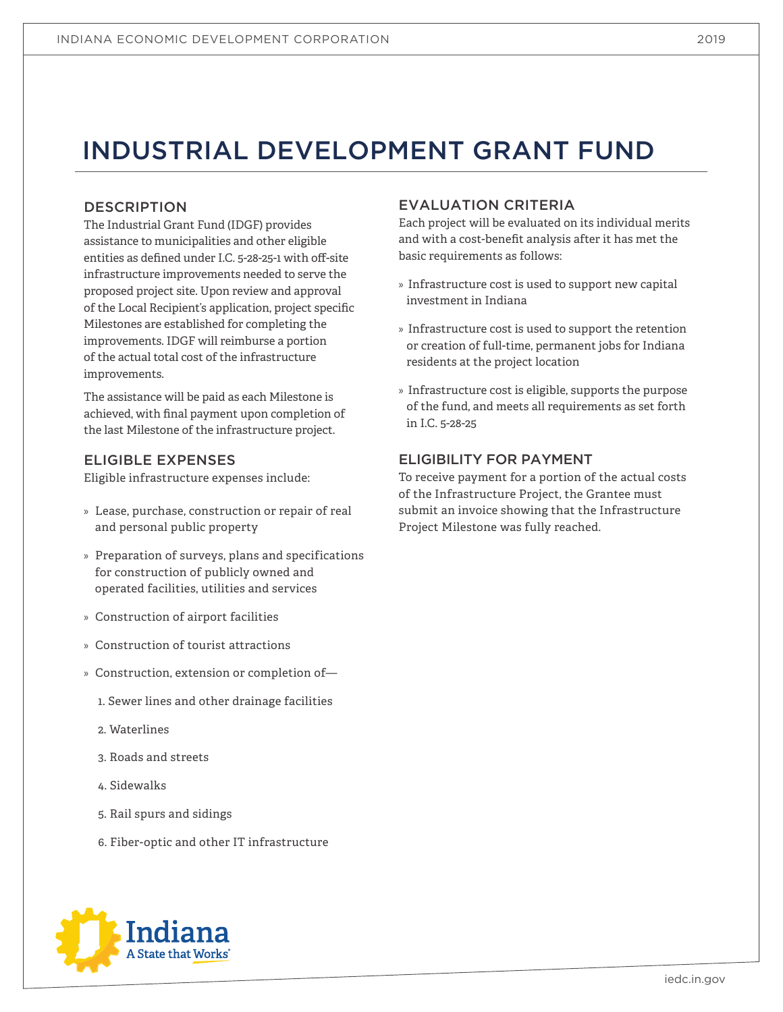# INDUSTRIAL DEVELOPMENT GRANT FUND

# DESCRIPTION

The Industrial Grant Fund (IDGF) provides assistance to municipalities and other eligible entities as defined under I.C. 5-28-25-1 with off-site infrastructure improvements needed to serve the proposed project site. Upon review and approval of the Local Recipient's application, project specific Milestones are established for completing the improvements. IDGF will reimburse a portion of the actual total cost of the infrastructure improvements.

The assistance will be paid as each Milestone is achieved, with final payment upon completion of the last Milestone of the infrastructure project.

# ELIGIBLE EXPENSES

Eligible infrastructure expenses include:

- » Lease, purchase, construction or repair of real and personal public property
- » Preparation of surveys, plans and specifications for construction of publicly owned and operated facilities, utilities and services
- » Construction of airport facilities
- » Construction of tourist attractions
- » Construction, extension or completion of—
	- 1. Sewer lines and other drainage facilities
	- 2. Waterlines
	- 3. Roads and streets
	- 4. Sidewalks
	- 5. Rail spurs and sidings
	- 6. Fiber-optic and other IT infrastructure

# EVALUATION CRITERIA

Each project will be evaluated on its individual merits and with a cost-benefit analysis after it has met the basic requirements as follows:

- » Infrastructure cost is used to support new capital investment in Indiana
- » Infrastructure cost is used to support the retention or creation of full-time, permanent jobs for Indiana residents at the project location
- » Infrastructure cost is eligible, supports the purpose of the fund, and meets all requirements as set forth in I.C. 5-28-25

# ELIGIBILITY FOR PAYMENT

To receive payment for a portion of the actual costs of the Infrastructure Project, the Grantee must submit an invoice showing that the Infrastructure Project Milestone was fully reached.

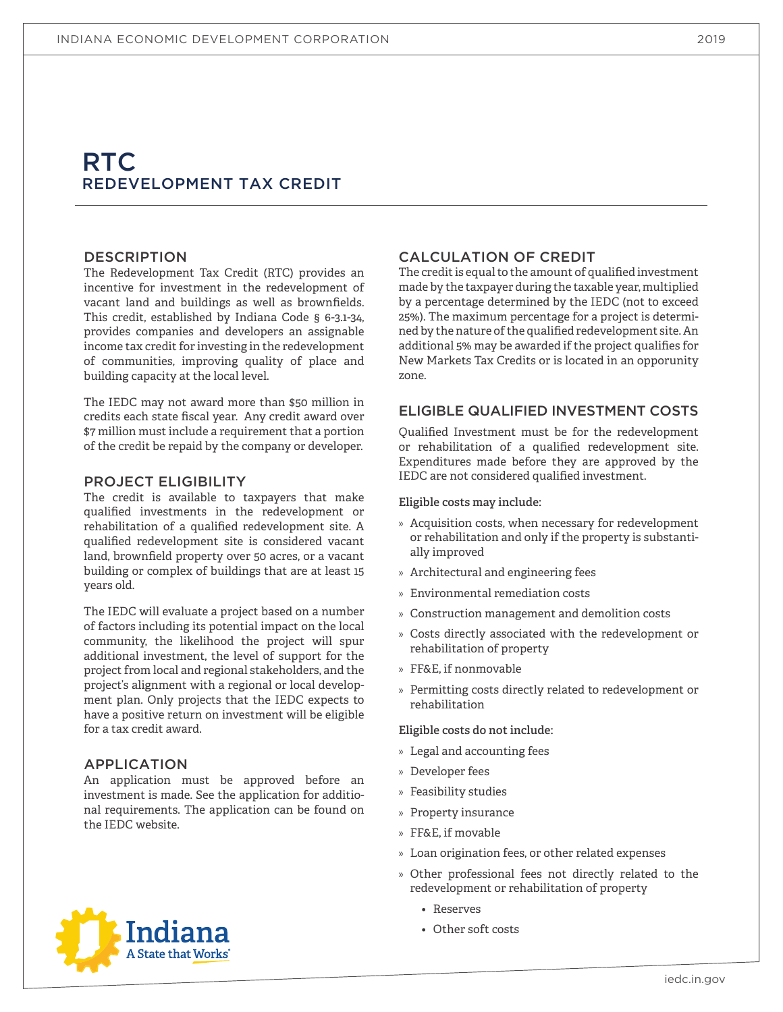# RTC. REDEVELOPMENT TAX CREDIT

#### DESCRIPTION

The Redevelopment Tax Credit (RTC) provides an incentive for investment in the redevelopment of vacant land and buildings as well as brownfields. This credit, established by Indiana Code § 6-3.1-34, provides companies and developers an assignable income tax credit for investing in the redevelopment of communities, improving quality of place and building capacity at the local level.

The IEDC may not award more than \$50 million in credits each state fiscal year. Any credit award over \$7 million must include a requirement that a portion of the credit be repaid by the company or developer.

#### PROJECT ELIGIBILITY

The credit is available to taxpayers that make qualified investments in the redevelopment or rehabilitation of a qualified redevelopment site. A qualified redevelopment site is considered vacant land, brownfield property over 50 acres, or a vacant building or complex of buildings that are at least 15 years old.

The IEDC will evaluate a project based on a number of factors including its potential impact on the local community, the likelihood the project will spur additional investment, the level of support for the project from local and regional stakeholders, and the project's alignment with a regional or local development plan. Only projects that the IEDC expects to have a positive return on investment will be eligible for a tax credit award.

### APPLICATION

An application must be approved before an investment is made. See the application for additional requirements. The application can be found on the IEDC website.

# CALCULATION OF CREDIT

The credit is equal to the amount of qualified investment made by the taxpayer during the taxable year, multiplied by a percentage determined by the IEDC (not to exceed 25%). The maximum percentage for a project is determined by the nature of the qualified redevelopment site. An additional 5% may be awarded if the project qualifies for New Markets Tax Credits or is located in an opporunity zone.

### ELIGIBLE QUALIFIED INVESTMENT COSTS

Qualified Investment must be for the redevelopment or rehabilitation of a qualified redevelopment site. Expenditures made before they are approved by the IEDC are not considered qualified investment.

#### **Eligible costs may include:**

- » Acquisition costs, when necessary for redevelopment or rehabilitation and only if the property is substantially improved
- » Architectural and engineering fees
- » Environmental remediation costs
- » Construction management and demolition costs
- » Costs directly associated with the redevelopment or rehabilitation of property
- » FF&E, if nonmovable
- » Permitting costs directly related to redevelopment or rehabilitation

#### **Eligible costs do not include:**

- » Legal and accounting fees
- » Developer fees
- » Feasibility studies
- » Property insurance
- » FF&E, if movable
- » Loan origination fees, or other related expenses
- » Other professional fees not directly related to the redevelopment or rehabilitation of property
	- Reserves
	- Other soft costs



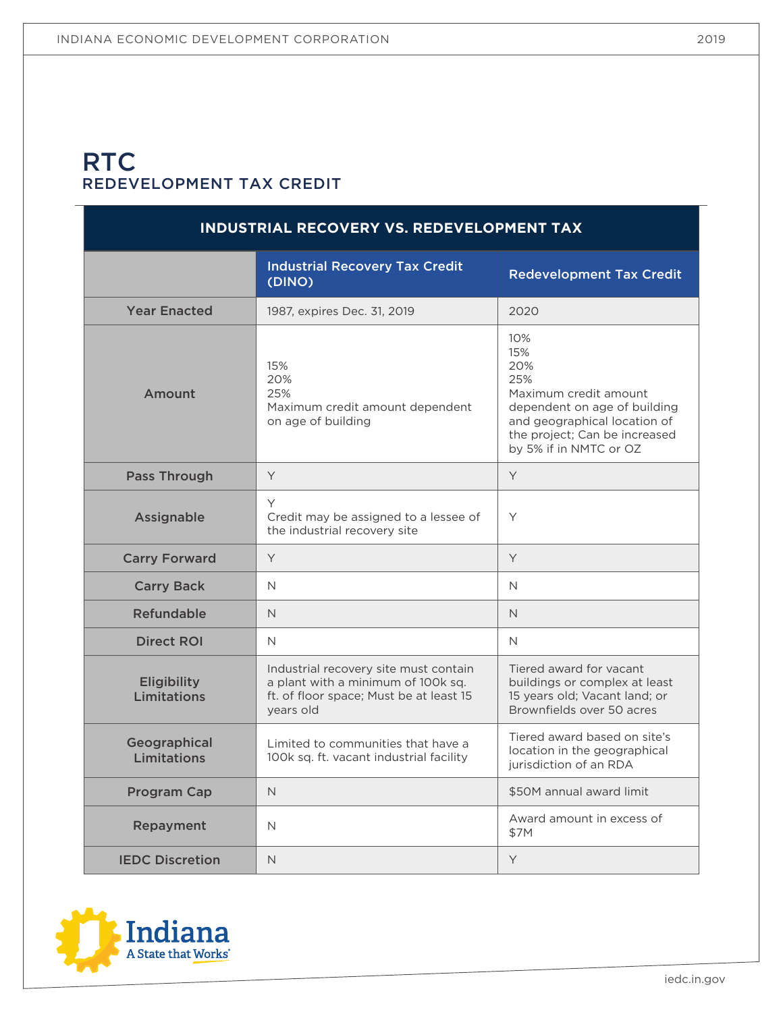# **RTC** REDEVELOPMENT TAX CREDIT

| INDUSTRIAL RECOVERY VS. REDEVELOPMENT TAX |                                                                                                                                     |                                                                                                                                                                              |  |
|-------------------------------------------|-------------------------------------------------------------------------------------------------------------------------------------|------------------------------------------------------------------------------------------------------------------------------------------------------------------------------|--|
|                                           | <b>Industrial Recovery Tax Credit</b><br>(DINO)                                                                                     | <b>Redevelopment Tax Credit</b>                                                                                                                                              |  |
| <b>Year Enacted</b>                       | 1987, expires Dec. 31, 2019                                                                                                         | 2020                                                                                                                                                                         |  |
| Amount                                    | 15%<br>20%<br>25%<br>Maximum credit amount dependent<br>on age of building                                                          | 10%<br>15%<br>20%<br>25%<br>Maximum credit amount<br>dependent on age of building<br>and geographical location of<br>the project; Can be increased<br>by 5% if in NMTC or OZ |  |
| <b>Pass Through</b>                       | Y                                                                                                                                   | Y                                                                                                                                                                            |  |
| Assignable                                | Y<br>Credit may be assigned to a lessee of<br>the industrial recovery site                                                          | Y                                                                                                                                                                            |  |
| <b>Carry Forward</b>                      | Y                                                                                                                                   | Y                                                                                                                                                                            |  |
| <b>Carry Back</b>                         | $\mathsf{N}$                                                                                                                        | N                                                                                                                                                                            |  |
| <b>Refundable</b>                         | $\mathsf{N}$                                                                                                                        | $\mathsf{N}$                                                                                                                                                                 |  |
| <b>Direct ROI</b>                         | N.                                                                                                                                  | N                                                                                                                                                                            |  |
| <b>Eligibility</b><br>Limitations         | Industrial recovery site must contain<br>a plant with a minimum of 100k sq.<br>ft. of floor space; Must be at least 15<br>years old | Tiered award for vacant<br>buildings or complex at least<br>15 years old; Vacant land; or<br>Brownfields over 50 acres                                                       |  |
| Geographical<br>Limitations               | Limited to communities that have a<br>100k sq. ft. vacant industrial facility                                                       | Tiered award based on site's<br>location in the geographical<br>jurisdiction of an RDA                                                                                       |  |
| <b>Program Cap</b>                        | $\mathsf{N}$                                                                                                                        | \$50M annual award limit                                                                                                                                                     |  |
| Repayment                                 | $\mathsf{N}$                                                                                                                        | Award amount in excess of<br>\$7M                                                                                                                                            |  |
| <b>IEDC Discretion</b>                    | $\mathsf{N}$                                                                                                                        | Y                                                                                                                                                                            |  |

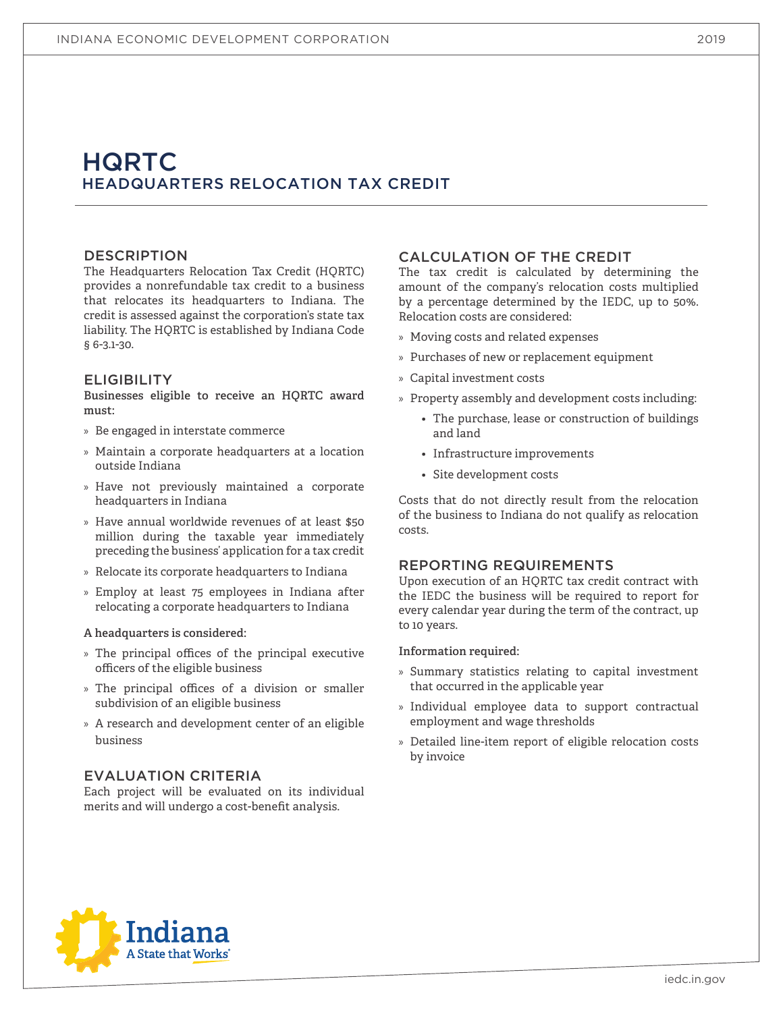# **HQRTC** HEADQUARTERS RELOCATION TAX CREDIT

### DESCRIPTION

The Headquarters Relocation Tax Credit (HQRTC) provides a nonrefundable tax credit to a business that relocates its headquarters to Indiana. The credit is assessed against the corporation's state tax liability. The HQRTC is established by Indiana Code § 6-3.1-30.

### **ELIGIBILITY**

**Businesses eligible to receive an HQRTC award must:**

- » Be engaged in interstate commerce
- » Maintain a corporate headquarters at a location outside Indiana
- » Have not previously maintained a corporate headquarters in Indiana
- » Have annual worldwide revenues of at least \$50 million during the taxable year immediately preceding the business' application for a tax credit
- » Relocate its corporate headquarters to Indiana
- » Employ at least 75 employees in Indiana after relocating a corporate headquarters to Indiana

#### **A headquarters is considered:**

- » The principal offices of the principal executive officers of the eligible business
- » The principal offices of a division or smaller subdivision of an eligible business
- » A research and development center of an eligible business

### EVALUATION CRITERIA

Each project will be evaluated on its individual merits and will undergo a cost-benefit analysis.

### CALCULATION OF THE CREDIT

The tax credit is calculated by determining the amount of the company's relocation costs multiplied by a percentage determined by the IEDC, up to 50%. Relocation costs are considered:

- » Moving costs and related expenses
- » Purchases of new or replacement equipment
- » Capital investment costs
- » Property assembly and development costs including:
	- The purchase, lease or construction of buildings and land
	- Infrastructure improvements
	- Site development costs

Costs that do not directly result from the relocation of the business to Indiana do not qualify as relocation costs.

#### REPORTING REQUIREMENTS

Upon execution of an HQRTC tax credit contract with the IEDC the business will be required to report for every calendar year during the term of the contract, up to 10 years.

- » Summary statistics relating to capital investment that occurred in the applicable year
- » Individual employee data to support contractual employment and wage thresholds
- » Detailed line-item report of eligible relocation costs by invoice

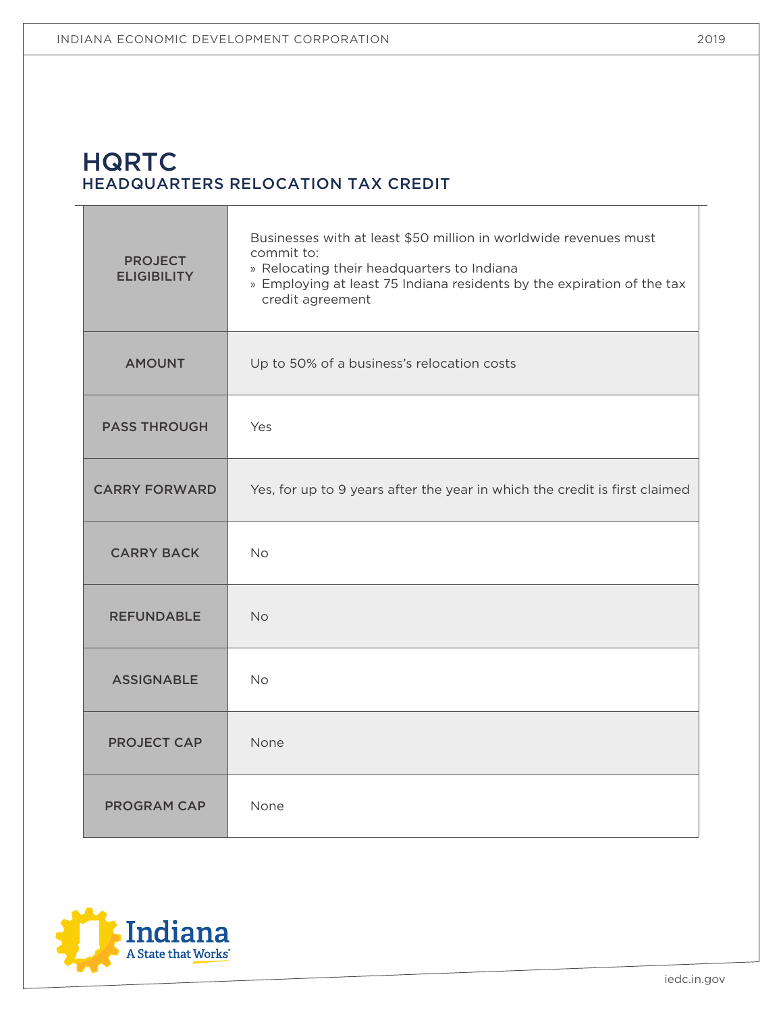# **HQRTC** HEADQUARTERS RELOCATION TAX CREDIT

| <b>PROJECT</b><br><b>ELIGIBILITY</b> | Businesses with at least \$50 million in worldwide revenues must<br>commit to:<br>» Relocating their headquarters to Indiana<br>» Employing at least 75 Indiana residents by the expiration of the tax<br>credit agreement |
|--------------------------------------|----------------------------------------------------------------------------------------------------------------------------------------------------------------------------------------------------------------------------|
| <b>AMOUNT</b>                        | Up to 50% of a business's relocation costs                                                                                                                                                                                 |
| <b>PASS THROUGH</b>                  | Yes                                                                                                                                                                                                                        |
| <b>CARRY FORWARD</b>                 | Yes, for up to 9 years after the year in which the credit is first claimed                                                                                                                                                 |
| <b>CARRY BACK</b>                    | <b>No</b>                                                                                                                                                                                                                  |
| <b>REFUNDABLE</b>                    | <b>No</b>                                                                                                                                                                                                                  |
| <b>ASSIGNABLE</b>                    | <b>No</b>                                                                                                                                                                                                                  |
| <b>PROJECT CAP</b>                   | None                                                                                                                                                                                                                       |
| <b>PROGRAM CAP</b>                   | None                                                                                                                                                                                                                       |



Τ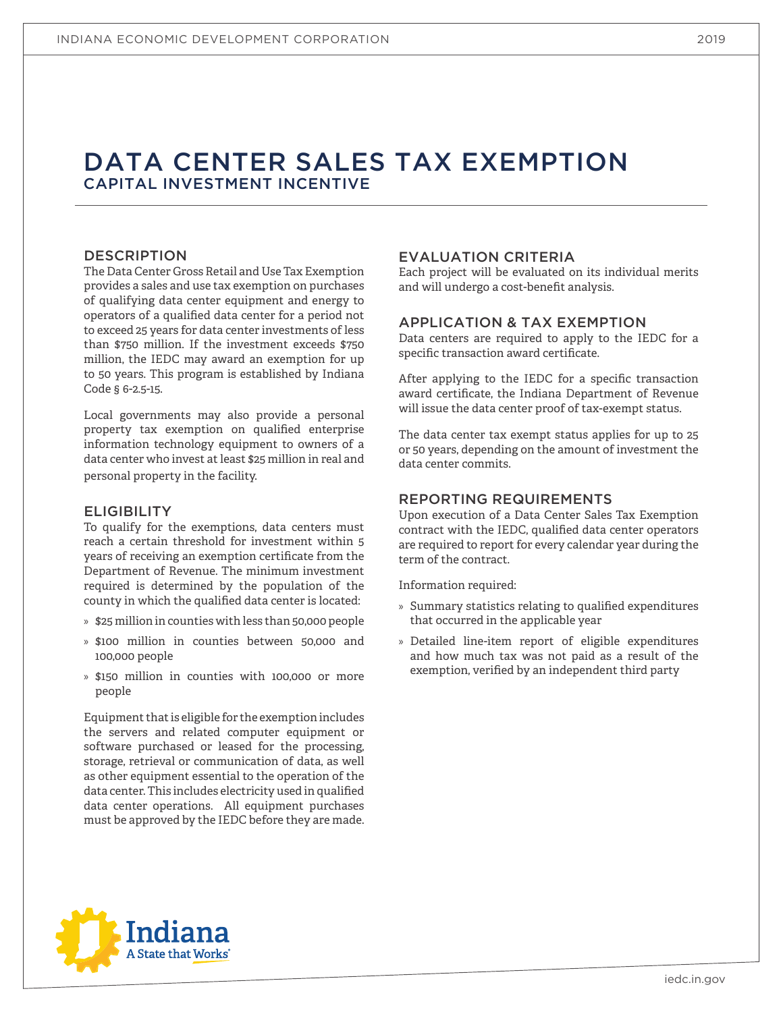# DATA CENTER SALES TAX EXEMPTION CAPITAL INVESTMENT INCENTIVE

### DESCRIPTION

The Data Center Gross Retail and Use Tax Exemption provides a sales and use tax exemption on purchases of qualifying data center equipment and energy to operators of a qualified data center for a period not to exceed 25 years for data center investments of less than \$750 million. If the investment exceeds \$750 million, the IEDC may award an exemption for up to 50 years. This program is established by Indiana Code § 6-2.5-15.

Local governments may also provide a personal property tax exemption on qualified enterprise information technology equipment to owners of a data center who invest at least \$25 million in real and personal property in the facility.

#### **ELIGIBILITY**

To qualify for the exemptions, data centers must reach a certain threshold for investment within 5 years of receiving an exemption certificate from the Department of Revenue. The minimum investment required is determined by the population of the county in which the qualified data center is located:

- » \$25 million in counties with less than 50,000 people
- » \$100 million in counties between 50,000 and 100,000 people
- » \$150 million in counties with 100,000 or more people

Equipment that is eligible for the exemption includes the servers and related computer equipment or software purchased or leased for the processing, storage, retrieval or communication of data, as well as other equipment essential to the operation of the data center. This includes electricity used in qualified data center operations. All equipment purchases must be approved by the IEDC before they are made.

### EVALUATION CRITERIA

Each project will be evaluated on its individual merits and will undergo a cost-benefit analysis.

#### APPLICATION & TAX EXEMPTION

Data centers are required to apply to the IEDC for a specific transaction award certificate.

After applying to the IEDC for a specific transaction award certificate, the Indiana Department of Revenue will issue the data center proof of tax-exempt status.

The data center tax exempt status applies for up to 25 or 50 years, depending on the amount of investment the data center commits.

### REPORTING REQUIREMENTS

Upon execution of a Data Center Sales Tax Exemption contract with the IEDC, qualified data center operators are required to report for every calendar year during the term of the contract.

- » Summary statistics relating to qualified expenditures that occurred in the applicable year
- » Detailed line-item report of eligible expenditures and how much tax was not paid as a result of the exemption, verified by an independent third party

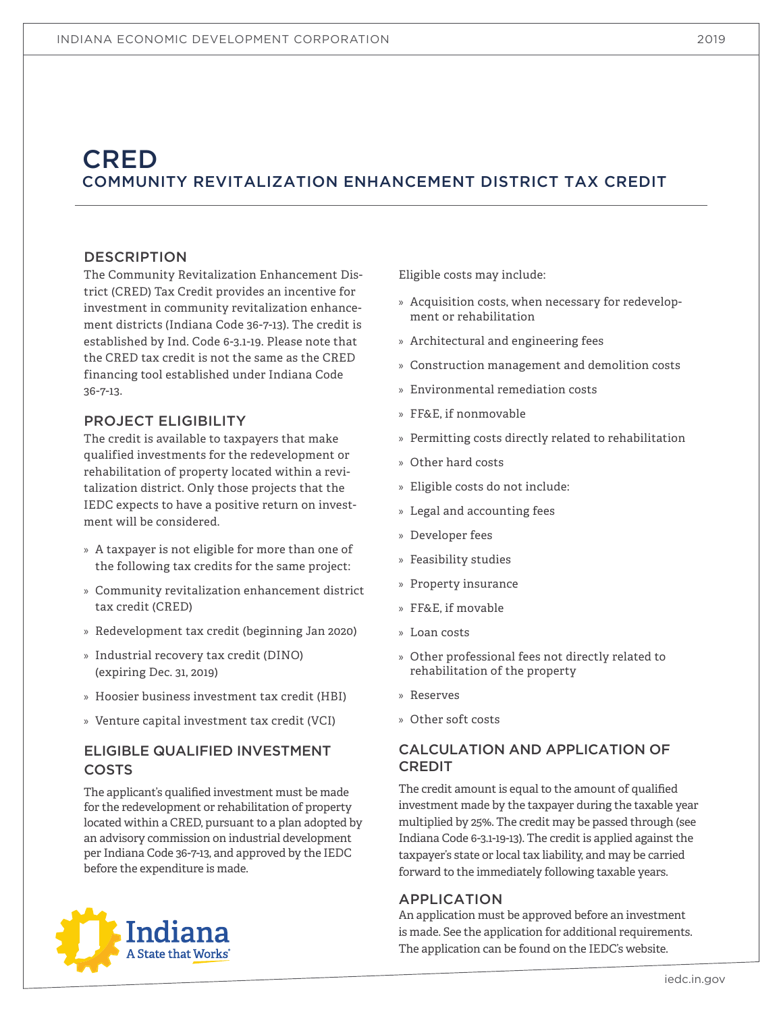# **CRED** COMMUNITY REVITALIZATION ENHANCEMENT DISTRICT TAX CREDIT

### DESCRIPTION

The Community Revitalization Enhancement District (CRED) Tax Credit provides an incentive for investment in community revitalization enhancement districts (Indiana Code 36-7-13). The credit is established by Ind. Code 6-3.1-19. Please note that the CRED tax credit is not the same as the CRED financing tool established under Indiana Code 36-7-13.

### PROJECT ELIGIBILITY

The credit is available to taxpayers that make qualified investments for the redevelopment or rehabilitation of property located within a revitalization district. Only those projects that the IEDC expects to have a positive return on investment will be considered.

- » A taxpayer is not eligible for more than one of the following tax credits for the same project:
- » Community revitalization enhancement district tax credit (CRED)
- » Redevelopment tax credit (beginning Jan 2020)
- » Industrial recovery tax credit (DINO) (expiring Dec. 31, 2019)
- » Hoosier business investment tax credit (HBI)
- » Venture capital investment tax credit (VCI)

# ELIGIBLE QUALIFIED INVESTMENT COSTS

The applicant's qualified investment must be made for the redevelopment or rehabilitation of property located within a CRED, pursuant to a plan adopted by an advisory commission on industrial development per Indiana Code 36-7-13, and approved by the IEDC





Eligible costs may include:

- » Acquisition costs, when necessary for redevelopment or rehabilitation
- » Architectural and engineering fees
- » Construction management and demolition costs
- » Environmental remediation costs
- » FF&E, if nonmovable
- » Permitting costs directly related to rehabilitation
- » Other hard costs
- » Eligible costs do not include:
- » Legal and accounting fees
- » Developer fees
- » Feasibility studies
- » Property insurance
- » FF&E, if movable
- » Loan costs
- » Other professional fees not directly related to rehabilitation of the property
- » Reserves
- » Other soft costs

# CALCULATION AND APPLICATION OF CREDIT

The credit amount is equal to the amount of qualified investment made by the taxpayer during the taxable year multiplied by 25%. The credit may be passed through (see Indiana Code 6-3.1-19-13). The credit is applied against the taxpayer's state or local tax liability, and may be carried forward to the immediately following taxable years.

### APPLICATION

An application must be approved before an investment is made. See the application for additional requirements. The application can be found on the IEDC's website.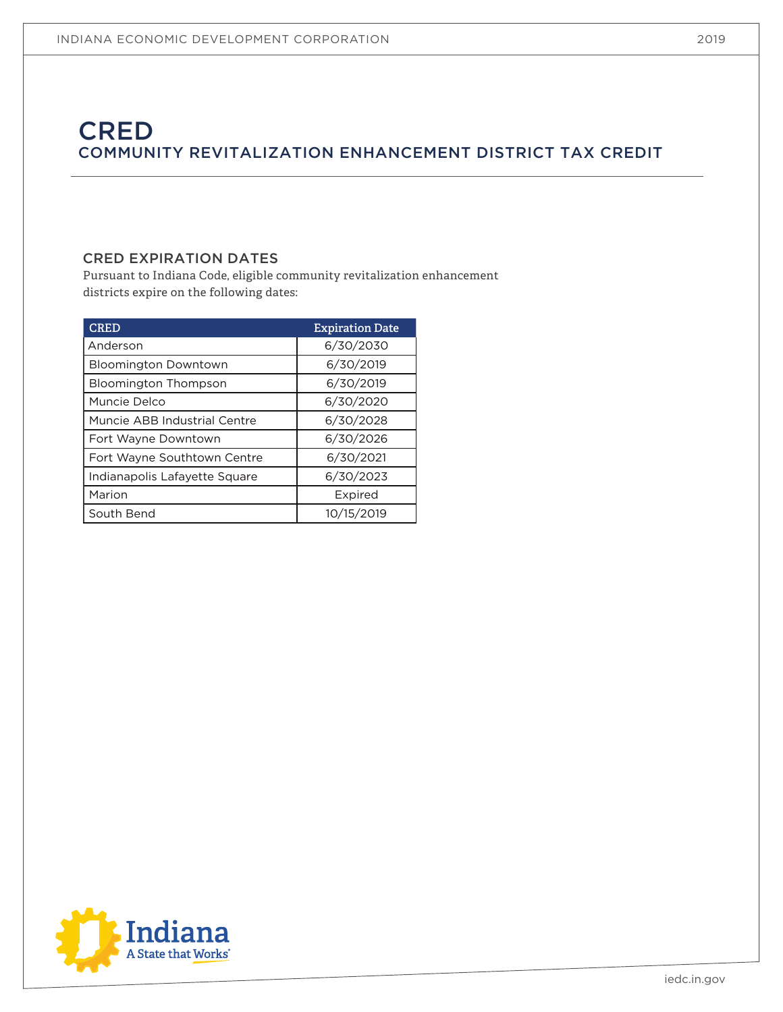# **CRED** COMMUNITY REVITALIZATION ENHANCEMENT DISTRICT TAX CREDIT

# CRED EXPIRATION DATES

Pursuant to Indiana Code, eligible community revitalization enhancement districts expire on the following dates:

| <b>CRED</b>                   | <b>Expiration Date</b> |
|-------------------------------|------------------------|
| Anderson                      | 6/30/2030              |
| <b>Bloomington Downtown</b>   | 6/30/2019              |
| <b>Bloomington Thompson</b>   | 6/30/2019              |
| Muncie Delco                  | 6/30/2020              |
| Muncie ABB Industrial Centre  | 6/30/2028              |
| Fort Wayne Downtown           | 6/30/2026              |
| Fort Wayne Southtown Centre   | 6/30/2021              |
| Indianapolis Lafayette Square | 6/30/2023              |
| Marion                        | Expired                |
| South Bend                    | 10/15/2019             |